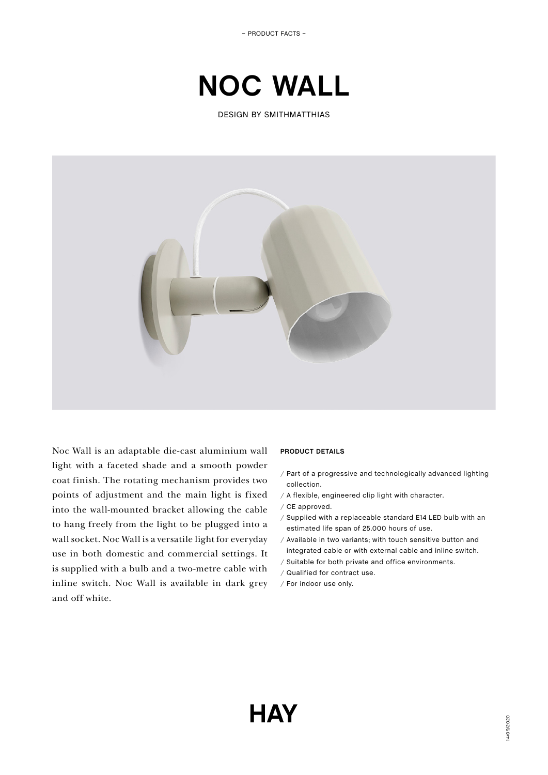# **NOC WALL**

DESIGN BY SMITHMATTHIAS



Noc Wall is an adaptable die-cast aluminium wall light with a faceted shade and a smooth powder coat finish. The rotating mechanism provides two points of adjustment and the main light is fixed into the wall-mounted bracket allowing the cable to hang freely from the light to be plugged into a wall socket. Noc Wall is a versatile light for everyday use in both domestic and commercial settings. It is supplied with a bulb and a two-metre cable with inline switch. Noc Wall is available in dark grey and off white.

## **PRODUCT DETAILS**

- / Part of a progressive and technologically advanced lighting collection.
- / A flexible, engineered clip light with character.
- / CE approved.
- / Supplied with a replaceable standard E14 LED bulb with an estimated life span of 25.000 hours of use.
- / Available in two variants; with touch sensitive button and integrated cable or with external cable and inline switch.
- / Suitable for both private and office environments.
- / Qualified for contract use.
- / For indoor use only.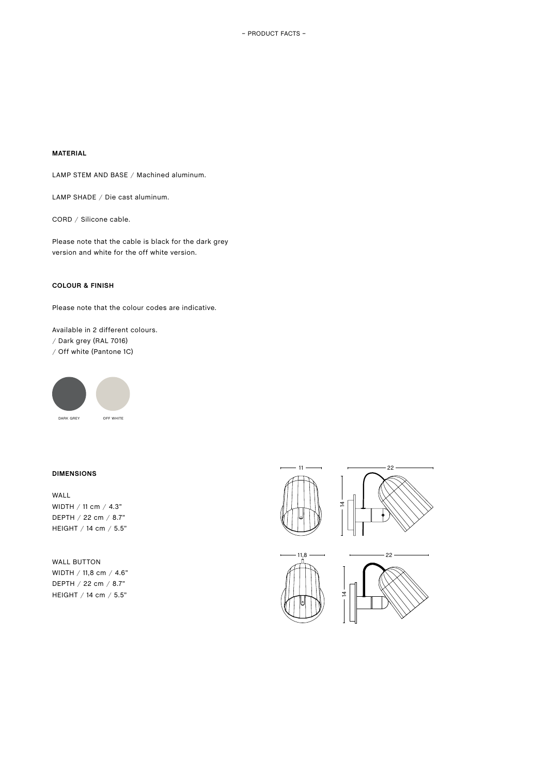## **MATERIAL**

LAMP STEM AND BASE / Machined aluminum.

LAMP SHADE / Die cast aluminum.

CORD / Silicone cable.

Please note that the cable is black for the dark grey version and white for the off white version.

# **COLOUR & FINISH**

Please note that the colour codes are indicative.

Available in 2 different colours. / Dark grey (RAL 7016) / Off white (Pantone 1C)



DARK GREY OFF WHITE

#### **DIMENSIONS**

WALL WIDTH / 11 cm / 4.3" DEPTH / 22 cm / 8.7" HEIGHT / 14 cm / 5.5"

WALL BUTTON WIDTH / 11,8 cm / 4.6" DEPTH / 22 cm / 8.7" HEIGHT / 14 cm / 5.5"